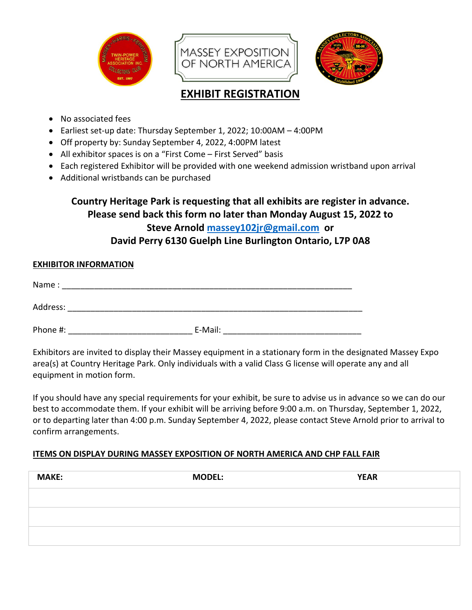

# **EXHIBIT REGISTRATION**

- No associated fees
- Earliest set-up date: Thursday September 1, 2022; 10:00AM 4:00PM
- Off property by: Sunday September 4, 2022, 4:00PM latest
- All exhibitor spaces is on a "First Come First Served" basis
- Each registered Exhibitor will be provided with one weekend admission wristband upon arrival
- Additional wristbands can be purchased

# **Country Heritage Park is requesting that all exhibits are register in advance. Please send back this form no later than Monday August 15, 2022 to Steve Arnold [massey102jr@gmail.com](mailto:massey102jr@gmail.com) or David Perry 6130 Guelph Line Burlington Ontario, L7P 0A8**

# **EXHIBITOR INFORMATION**

| Name:    |         |  |
|----------|---------|--|
| Address: |         |  |
| Phone #: | E-Mail: |  |

Exhibitors are invited to display their Massey equipment in a stationary form in the designated Massey Expo area(s) at Country Heritage Park. Only individuals with a valid Class G license will operate any and all equipment in motion form.

If you should have any special requirements for your exhibit, be sure to advise us in advance so we can do our best to accommodate them. If your exhibit will be arriving before 9:00 a.m. on Thursday, September 1, 2022, or to departing later than 4:00 p.m. Sunday September 4, 2022, please contact Steve Arnold prior to arrival to confirm arrangements.

## **ITEMS ON DISPLAY DURING MASSEY EXPOSITION OF NORTH AMERICA AND CHP FALL FAIR**

| <b>MAKE:</b> | <b>MODEL:</b> | <b>YEAR</b> |
|--------------|---------------|-------------|
|              |               |             |
|              |               |             |
|              |               |             |